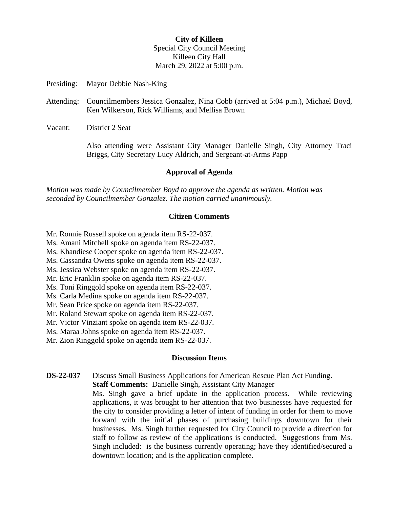## **City of Killeen** Special City Council Meeting Killeen City Hall March 29, 2022 at 5:00 p.m.

- Presiding: Mayor Debbie Nash-King
- Attending: Councilmembers Jessica Gonzalez, Nina Cobb (arrived at 5:04 p.m.), Michael Boyd, Ken Wilkerson, Rick Williams, and Mellisa Brown
- Vacant: District 2 Seat

Also attending were Assistant City Manager Danielle Singh, City Attorney Traci Briggs, City Secretary Lucy Aldrich, and Sergeant-at-Arms Papp

### **Approval of Agenda**

*Motion was made by Councilmember Boyd to approve the agenda as written. Motion was seconded by Councilmember Gonzalez. The motion carried unanimously.*

#### **Citizen Comments**

- Mr. Ronnie Russell spoke on agenda item RS-22-037.
- Ms. Amani Mitchell spoke on agenda item RS-22-037.
- Ms. Khandiese Cooper spoke on agenda item RS-22-037.
- Ms. Cassandra Owens spoke on agenda item RS-22-037.
- Ms. Jessica Webster spoke on agenda item RS-22-037.
- Mr. Eric Franklin spoke on agenda item RS-22-037.
- Ms. Toni Ringgold spoke on agenda item RS-22-037.
- Ms. Carla Medina spoke on agenda item RS-22-037.
- Mr. Sean Price spoke on agenda item RS-22-037.
- Mr. Roland Stewart spoke on agenda item RS-22-037.
- Mr. Victor Vinziant spoke on agenda item RS-22-037.
- Ms. Maraa Johns spoke on agenda item RS-22-037.
- Mr. Zion Ringgold spoke on agenda item RS-22-037.

#### **Discussion Items**

**DS-22-037** Discuss Small Business Applications for American Rescue Plan Act Funding. **Staff Comments:** Danielle Singh, Assistant City Manager

> Ms. Singh gave a brief update in the application process. While reviewing applications, it was brought to her attention that two businesses have requested for the city to consider providing a letter of intent of funding in order for them to move forward with the initial phases of purchasing buildings downtown for their businesses. Ms. Singh further requested for City Council to provide a direction for staff to follow as review of the applications is conducted. Suggestions from Ms. Singh included: is the business currently operating; have they identified/secured a downtown location; and is the application complete.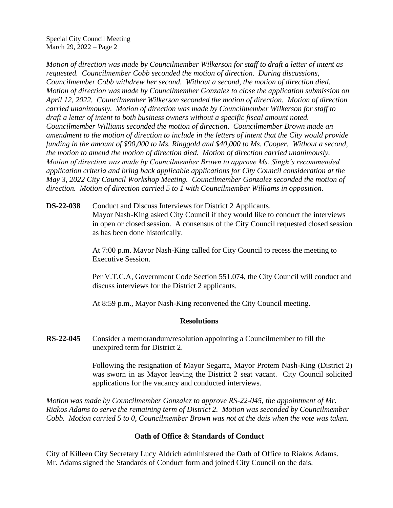Special City Council Meeting March 29, 2022 – Page 2

*Motion of direction was made by Councilmember Wilkerson for staff to draft a letter of intent as requested. Councilmember Cobb seconded the motion of direction. During discussions, Councilmember Cobb withdrew her second. Without a second, the motion of direction died. Motion of direction was made by Councilmember Gonzalez to close the application submission on April 12, 2022. Councilmember Wilkerson seconded the motion of direction. Motion of direction carried unanimously. Motion of direction was made by Councilmember Wilkerson for staff to draft a letter of intent to both business owners without a specific fiscal amount noted. Councilmember Williams seconded the motion of direction. Councilmember Brown made an amendment to the motion of direction to include in the letters of intent that the City would provide funding in the amount of \$90,000 to Ms. Ringgold and \$40,000 to Ms. Cooper. Without a second, the motion to amend the motion of direction died. Motion of direction carried unanimously. Motion of direction was made by Councilmember Brown to approve Ms. Singh's recommended application criteria and bring back applicable applications for City Council consideration at the May 3, 2022 City Council Workshop Meeting. Councilmember Gonzalez seconded the motion of direction. Motion of direction carried 5 to 1 with Councilmember Williams in opposition.*

**DS-22-038** Conduct and Discuss Interviews for District 2 Applicants. Mayor Nash-King asked City Council if they would like to conduct the interviews in open or closed session. A consensus of the City Council requested closed session as has been done historically.

> At 7:00 p.m. Mayor Nash-King called for City Council to recess the meeting to Executive Session.

Per V.T.C.A, Government Code Section 551.074, the City Council will conduct and discuss interviews for the District 2 applicants.

At 8:59 p.m., Mayor Nash-King reconvened the City Council meeting.

### **Resolutions**

**RS-22-045** Consider a memorandum/resolution appointing a Councilmember to fill the unexpired term for District 2.

> Following the resignation of Mayor Segarra, Mayor Protem Nash-King (District 2) was sworn in as Mayor leaving the District 2 seat vacant. City Council solicited applications for the vacancy and conducted interviews.

*Motion was made by Councilmember Gonzalez to approve RS-22-045, the appointment of Mr. Riakos Adams to serve the remaining term of District 2. Motion was seconded by Councilmember Cobb. Motion carried 5 to 0, Councilmember Brown was not at the dais when the vote was taken.*

## **Oath of Office & Standards of Conduct**

City of Killeen City Secretary Lucy Aldrich administered the Oath of Office to Riakos Adams. Mr. Adams signed the Standards of Conduct form and joined City Council on the dais.